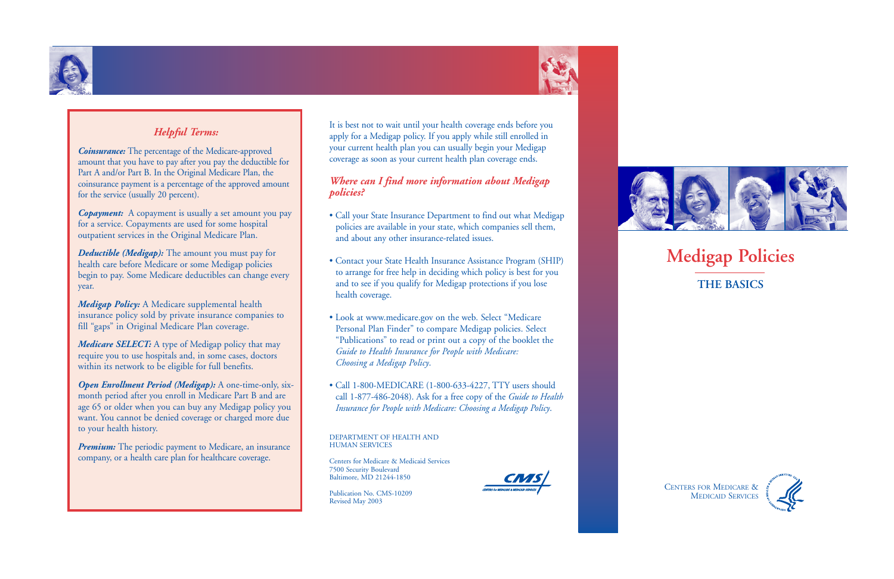It is best not to wait until your health coverage ends before you apply for a Medigap policy. If you apply while still enrolled in your current health plan you can usually begin your Medigap coverage as soon as your current health plan coverage ends.

#### *Where can I find more information about Medigap policies?*

- Call your State Insurance Department to find out what Medigap policies are available in your state, which companies sell them, and about any other insurance-related issues.
- Contact your State Health Insurance Assistance Program (SHIP) to arrange for free help in deciding which policy is best for you and to see if you qualify for Medigap protections if you lose health coverage.
- Look at www.medicare.gov on the web. Select "Medicare Personal Plan Finder" to compare Medigap policies. Select "Publications" to read or print out a copy of the booklet the *Guide to Health Insurance for People with Medicare: Choosing a Medigap Policy*.
- Call 1-800-MEDICARE (1-800-633-4227, TTY users should call 1-877-486-2048). Ask for a free copy of the *Guide to Health Insurance for People with Medicare: Choosing a Medigap Policy*.

*Copayment:* A copayment is usually a set amount you pay for a service. Copayments are used for some hospital outpatient services in the Original Medicare Plan.

# **Medigap Policies**

## **THE BASICS**





# *Helpful Terms:*

*Premium:* The periodic payment to Medicare, an insurance company, or a health care plan for healthcare coverage.

*Coinsurance:* The percentage of the Medicare-approved amount that you have to pay after you pay the deductible for Part A and/or Part B. In the Original Medicare Plan, the coinsurance payment is a percentage of the approved amount for the service (usually 20 percent).

*Deductible (Medigap):* The amount you must pay for health care before Medicare or some Medigap policies begin to pay. Some Medicare deductibles can change every year.

*Medigap Policy:* A Medicare supplemental health insurance policy sold by private insurance companies to fill "gaps" in Original Medicare Plan coverage.

*Medicare SELECT:* A type of Medigap policy that may require you to use hospitals and, in some cases, doctors within its network to be eligible for full benefits.

*Open Enrollment Period (Medigap):* A one-time-only, sixmonth period after you enroll in Medicare Part B and are age 65 or older when you can buy any Medigap policy you want. You cannot be denied coverage or charged more due to your health history.

DEPARTMENT OF HEALTH AND HUMAN SERVICES

Centers for Medicare & Medicaid Services 7500 Security Boulevard Baltimore, MD 21244-1850

Publication No. CMS-10209 Revised May 2003







CENTERS FOR MEDICARE & MEDICAID SERVICES